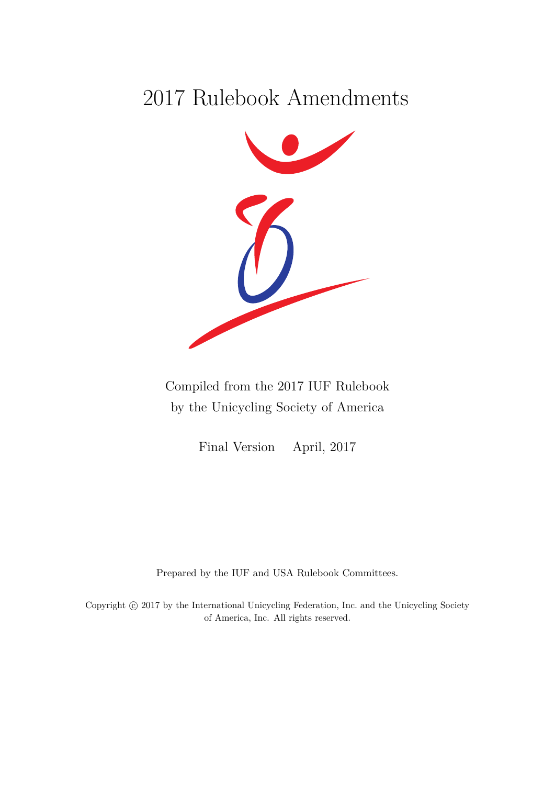# 2017 Rulebook Amendments



Compiled from the 2017 IUF Rulebook by the Unicycling Society of America

Final Version April, 2017

Prepared by the IUF and USA Rulebook Committees.

Copyright  $\odot$  2017 by the International Unicycling Federation, Inc. and the Unicycling Society of America, Inc. All rights reserved.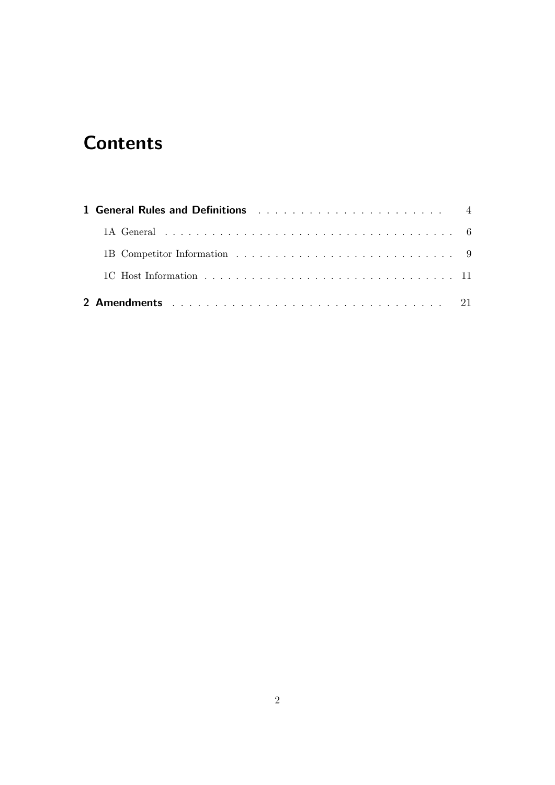# **Contents**

| 1 General Rules and Definitions entertainment of the contract of the set of the set of the set of the set of the set of the set of the set of the set of the set of the set of the set of the set of the set of the set of the |  |
|--------------------------------------------------------------------------------------------------------------------------------------------------------------------------------------------------------------------------------|--|
|                                                                                                                                                                                                                                |  |
|                                                                                                                                                                                                                                |  |
|                                                                                                                                                                                                                                |  |
|                                                                                                                                                                                                                                |  |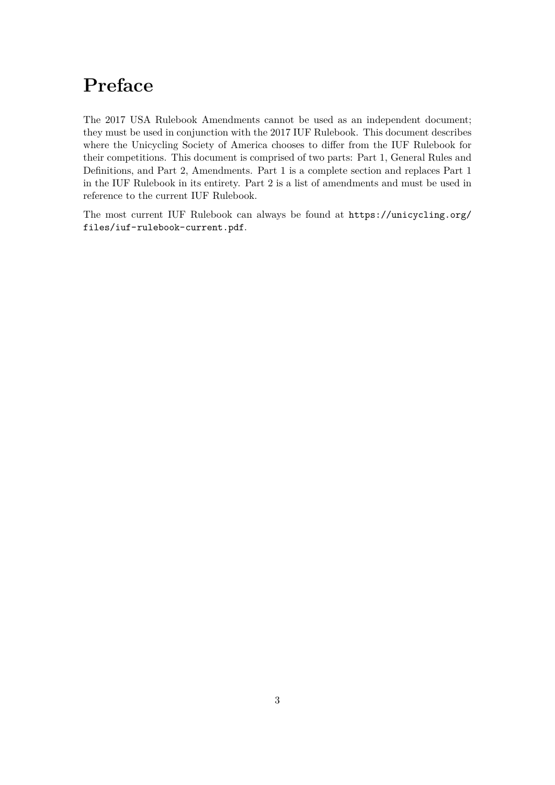# **Preface**

The 2017 USA Rulebook Amendments cannot be used as an independent document; they must be used in conjunction with the 2017 IUF Rulebook. This document describes where the Unicycling Society of America chooses to differ from the IUF Rulebook for their competitions. This document is comprised of two parts: Part 1, General Rules and Definitions, and Part 2, Amendments. Part 1 is a complete section and replaces Part 1 in the IUF Rulebook in its entirety. Part 2 is a list of amendments and must be used in reference to the current IUF Rulebook.

The most current IUF Rulebook can always be found at [https://unicycling.org/](https://unicycling.org/files/iuf-rulebook-current.pdf) [files/iuf-rulebook-current.pdf](https://unicycling.org/files/iuf-rulebook-current.pdf).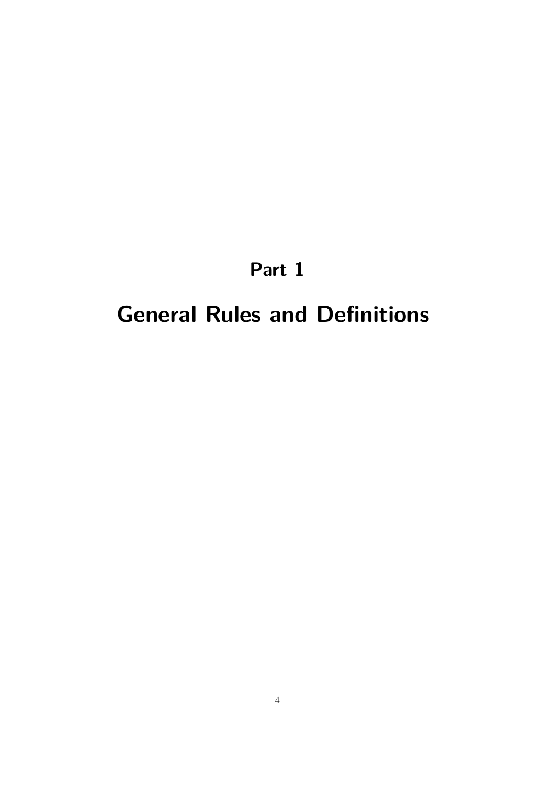# **Part 1**

# <span id="page-3-0"></span>**General Rules and Definitions**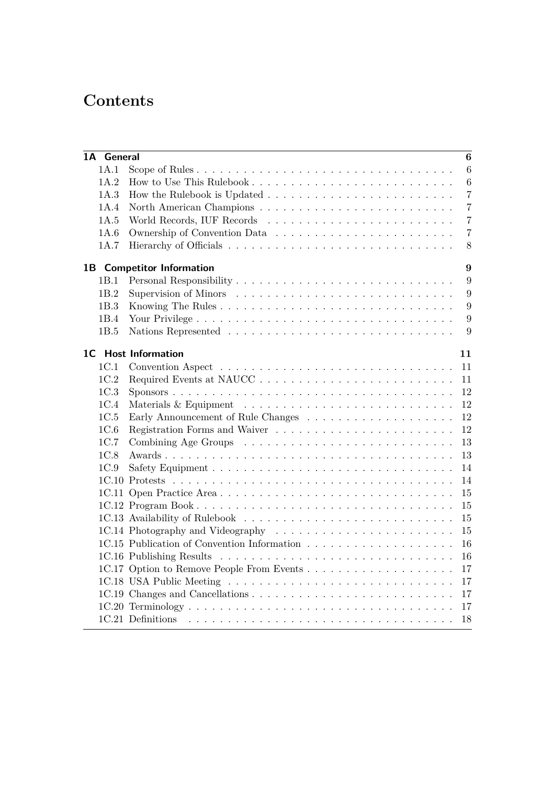# **Contents**

| 1A General<br>$\boldsymbol{6}$ |                                       |  |  |  |  |  |
|--------------------------------|---------------------------------------|--|--|--|--|--|
| 1A.1                           | $\,6\,$<br>Scope of Rules             |  |  |  |  |  |
| 1A.2                           | $\,6\,$                               |  |  |  |  |  |
| 1A.3                           | $\overline{7}$                        |  |  |  |  |  |
| 1A.4                           | $\overline{7}$                        |  |  |  |  |  |
| 1A.5                           | $\overline{7}$                        |  |  |  |  |  |
| 1A.6                           | $\overline{7}$                        |  |  |  |  |  |
| 1A.7                           | 8                                     |  |  |  |  |  |
|                                | 9<br><b>1B</b> Competitor Information |  |  |  |  |  |
| 1B.1                           | 9                                     |  |  |  |  |  |
| 1B.2                           | 9                                     |  |  |  |  |  |
| 1B.3                           | 9                                     |  |  |  |  |  |
| 1B.4                           | 9                                     |  |  |  |  |  |
| 1B.5                           | 9                                     |  |  |  |  |  |
|                                |                                       |  |  |  |  |  |
|                                | 1C Host Information<br>11             |  |  |  |  |  |
| 1C.1                           | 11                                    |  |  |  |  |  |
| 1C.2                           | Required Events at NAUCC<br>11        |  |  |  |  |  |
| 1C.3                           | 12                                    |  |  |  |  |  |
| 1C.4                           | 12                                    |  |  |  |  |  |
| 1C.5                           | 12                                    |  |  |  |  |  |
| 1C.6                           | 12                                    |  |  |  |  |  |
| 1C.7                           | 13                                    |  |  |  |  |  |
| 1C.8                           | 13                                    |  |  |  |  |  |
| 1C.9                           | 14                                    |  |  |  |  |  |
|                                | 14                                    |  |  |  |  |  |
|                                | 1C.11 Open Practice Area<br>15        |  |  |  |  |  |
|                                | 15                                    |  |  |  |  |  |
|                                | 15                                    |  |  |  |  |  |
|                                | 15                                    |  |  |  |  |  |
|                                | 16                                    |  |  |  |  |  |
|                                | 16                                    |  |  |  |  |  |
|                                | 17                                    |  |  |  |  |  |
|                                | 17                                    |  |  |  |  |  |
|                                | 17                                    |  |  |  |  |  |
|                                | 17                                    |  |  |  |  |  |
|                                | 18                                    |  |  |  |  |  |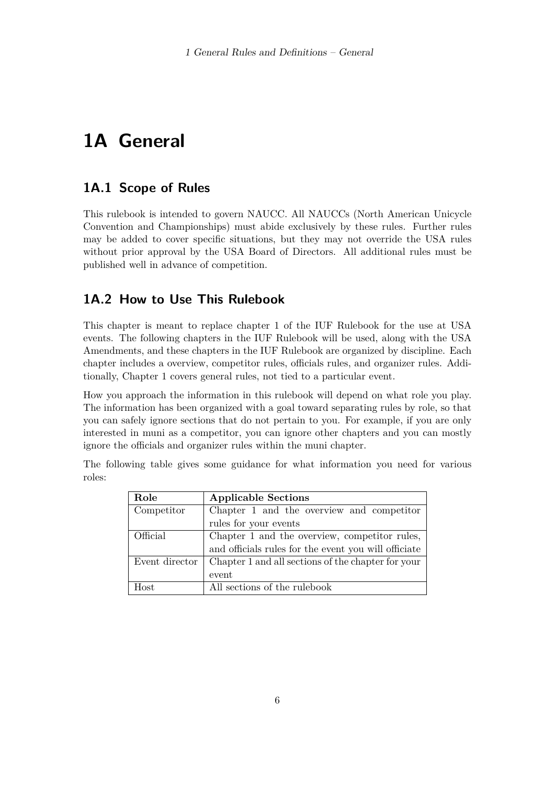# <span id="page-5-0"></span>**1A General**

# <span id="page-5-1"></span>**1A.1 Scope of Rules**

This rulebook is intended to govern NAUCC. All NAUCCs (North American Unicycle Convention and Championships) must abide exclusively by these rules. Further rules may be added to cover specific situations, but they may not override the USA rules without prior approval by the USA Board of Directors. All additional rules must be published well in advance of competition.

## <span id="page-5-2"></span>**1A.2 How to Use This Rulebook**

This chapter is meant to replace chapter 1 of the IUF Rulebook for the use at USA events. The following chapters in the IUF Rulebook will be used, along with the USA Amendments, and these chapters in the IUF Rulebook are organized by discipline. Each chapter includes a overview, competitor rules, officials rules, and organizer rules. Additionally, Chapter 1 covers general rules, not tied to a particular event.

How you approach the information in this rulebook will depend on what role you play. The information has been organized with a goal toward separating rules by role, so that you can safely ignore sections that do not pertain to you. For example, if you are only interested in muni as a competitor, you can ignore other chapters and you can mostly ignore the officials and organizer rules within the muni chapter.

| Role             | <b>Applicable Sections</b>                           |  |  |
|------------------|------------------------------------------------------|--|--|
| Competitor       | Chapter 1 and the overview and competitor            |  |  |
|                  | rules for your events                                |  |  |
| Official         | Chapter 1 and the overview, competitor rules,        |  |  |
|                  | and officials rules for the event you will officiate |  |  |
| Event director   | Chapter 1 and all sections of the chapter for your   |  |  |
|                  | event                                                |  |  |
| H <sub>ost</sub> | All sections of the rulebook                         |  |  |

The following table gives some guidance for what information you need for various roles: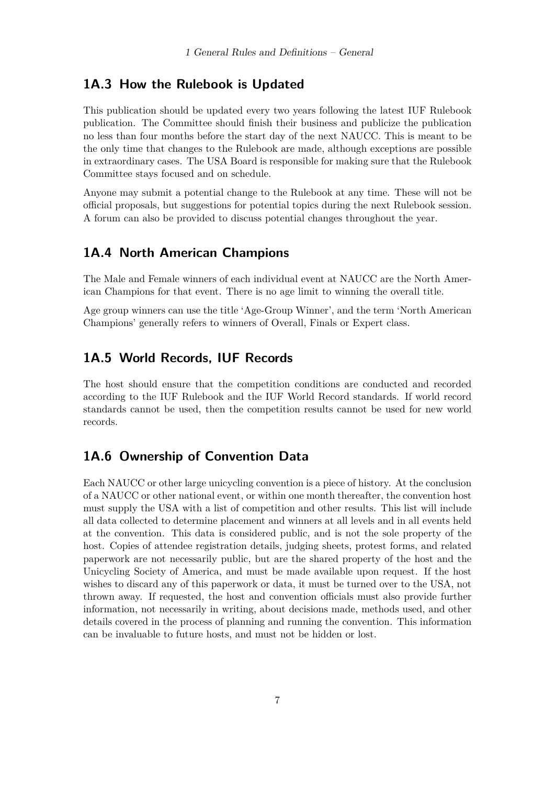### <span id="page-6-0"></span>**1A.3 How the Rulebook is Updated**

This publication should be updated every two years following the latest IUF Rulebook publication. The Committee should finish their business and publicize the publication no less than four months before the start day of the next NAUCC. This is meant to be the only time that changes to the Rulebook are made, although exceptions are possible in extraordinary cases. The USA Board is responsible for making sure that the Rulebook Committee stays focused and on schedule.

Anyone may submit a potential change to the Rulebook at any time. These will not be official proposals, but suggestions for potential topics during the next Rulebook session. A forum can also be provided to discuss potential changes throughout the year.

#### <span id="page-6-1"></span>**1A.4 North American Champions**

The Male and Female winners of each individual event at NAUCC are the North American Champions for that event. There is no age limit to winning the overall title.

Age group winners can use the title 'Age-Group Winner', and the term 'North American Champions' generally refers to winners of Overall, Finals or Expert class.

#### <span id="page-6-2"></span>**1A.5 World Records, IUF Records**

The host should ensure that the competition conditions are conducted and recorded according to the IUF Rulebook and the IUF World Record standards. If world record standards cannot be used, then the competition results cannot be used for new world records.

# <span id="page-6-3"></span>**1A.6 Ownership of Convention Data**

Each NAUCC or other large unicycling convention is a piece of history. At the conclusion of a NAUCC or other national event, or within one month thereafter, the convention host must supply the USA with a list of competition and other results. This list will include all data collected to determine placement and winners at all levels and in all events held at the convention. This data is considered public, and is not the sole property of the host. Copies of attendee registration details, judging sheets, protest forms, and related paperwork are not necessarily public, but are the shared property of the host and the Unicycling Society of America, and must be made available upon request. If the host wishes to discard any of this paperwork or data, it must be turned over to the USA, not thrown away. If requested, the host and convention officials must also provide further information, not necessarily in writing, about decisions made, methods used, and other details covered in the process of planning and running the convention. This information can be invaluable to future hosts, and must not be hidden or lost.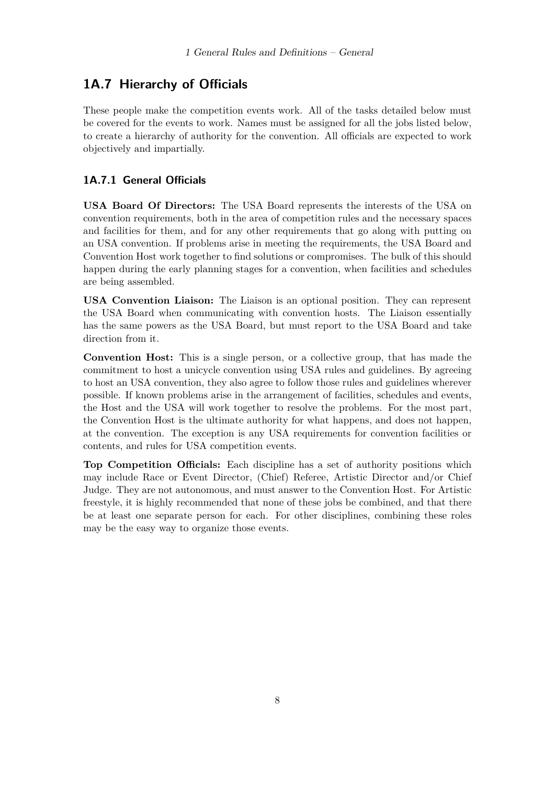# <span id="page-7-0"></span>**1A.7 Hierarchy of Officials**

These people make the competition events work. All of the tasks detailed below must be covered for the events to work. Names must be assigned for all the jobs listed below, to create a hierarchy of authority for the convention. All officials are expected to work objectively and impartially.

#### **1A.7.1 General Officials**

**USA Board Of Directors:** The USA Board represents the interests of the USA on convention requirements, both in the area of competition rules and the necessary spaces and facilities for them, and for any other requirements that go along with putting on an USA convention. If problems arise in meeting the requirements, the USA Board and Convention Host work together to find solutions or compromises. The bulk of this should happen during the early planning stages for a convention, when facilities and schedules are being assembled.

**USA Convention Liaison:** The Liaison is an optional position. They can represent the USA Board when communicating with convention hosts. The Liaison essentially has the same powers as the USA Board, but must report to the USA Board and take direction from it.

**Convention Host:** This is a single person, or a collective group, that has made the commitment to host a unicycle convention using USA rules and guidelines. By agreeing to host an USA convention, they also agree to follow those rules and guidelines wherever possible. If known problems arise in the arrangement of facilities, schedules and events, the Host and the USA will work together to resolve the problems. For the most part, the Convention Host is the ultimate authority for what happens, and does not happen, at the convention. The exception is any USA requirements for convention facilities or contents, and rules for USA competition events.

**Top Competition Officials:** Each discipline has a set of authority positions which may include Race or Event Director, (Chief) Referee, Artistic Director and/or Chief Judge. They are not autonomous, and must answer to the Convention Host. For Artistic freestyle, it is highly recommended that none of these jobs be combined, and that there be at least one separate person for each. For other disciplines, combining these roles may be the easy way to organize those events.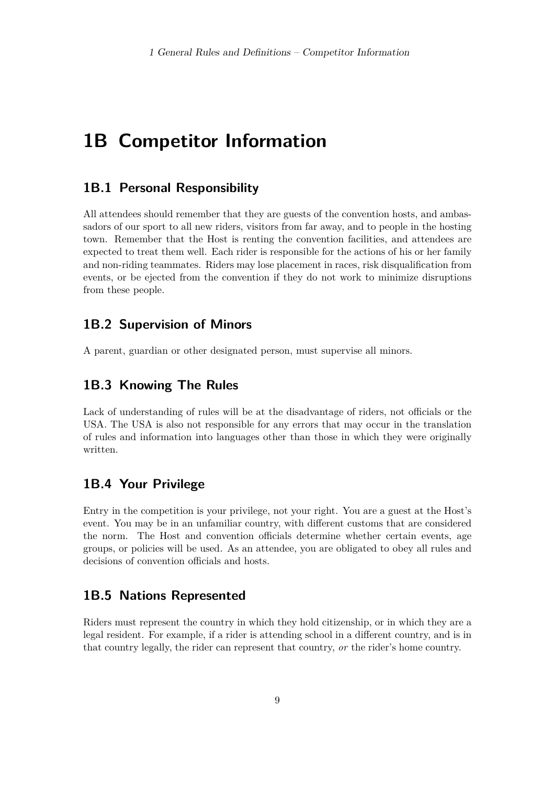# <span id="page-8-0"></span>**1B Competitor Information**

#### <span id="page-8-1"></span>**1B.1 Personal Responsibility**

All attendees should remember that they are guests of the convention hosts, and ambassadors of our sport to all new riders, visitors from far away, and to people in the hosting town. Remember that the Host is renting the convention facilities, and attendees are expected to treat them well. Each rider is responsible for the actions of his or her family and non-riding teammates. Riders may lose placement in races, risk disqualification from events, or be ejected from the convention if they do not work to minimize disruptions from these people.

# <span id="page-8-2"></span>**1B.2 Supervision of Minors**

A parent, guardian or other designated person, must supervise all minors.

## <span id="page-8-3"></span>**1B.3 Knowing The Rules**

Lack of understanding of rules will be at the disadvantage of riders, not officials or the USA. The USA is also not responsible for any errors that may occur in the translation of rules and information into languages other than those in which they were originally written.

# <span id="page-8-4"></span>**1B.4 Your Privilege**

Entry in the competition is your privilege, not your right. You are a guest at the Host's event. You may be in an unfamiliar country, with different customs that are considered the norm. The Host and convention officials determine whether certain events, age groups, or policies will be used. As an attendee, you are obligated to obey all rules and decisions of convention officials and hosts.

#### <span id="page-8-5"></span>**1B.5 Nations Represented**

Riders must represent the country in which they hold citizenship, or in which they are a legal resident. For example, if a rider is attending school in a different country, and is in that country legally, the rider can represent that country, *or* the rider's home country.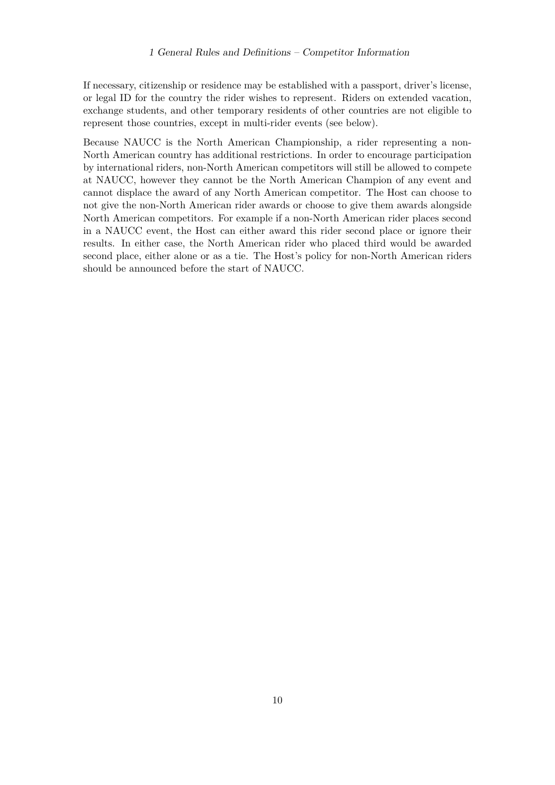If necessary, citizenship or residence may be established with a passport, driver's license, or legal ID for the country the rider wishes to represent. Riders on extended vacation, exchange students, and other temporary residents of other countries are not eligible to represent those countries, except in multi-rider events (see below).

Because NAUCC is the North American Championship, a rider representing a non-North American country has additional restrictions. In order to encourage participation by international riders, non-North American competitors will still be allowed to compete at NAUCC, however they cannot be the North American Champion of any event and cannot displace the award of any North American competitor. The Host can choose to not give the non-North American rider awards or choose to give them awards alongside North American competitors. For example if a non-North American rider places second in a NAUCC event, the Host can either award this rider second place or ignore their results. In either case, the North American rider who placed third would be awarded second place, either alone or as a tie. The Host's policy for non-North American riders should be announced before the start of NAUCC.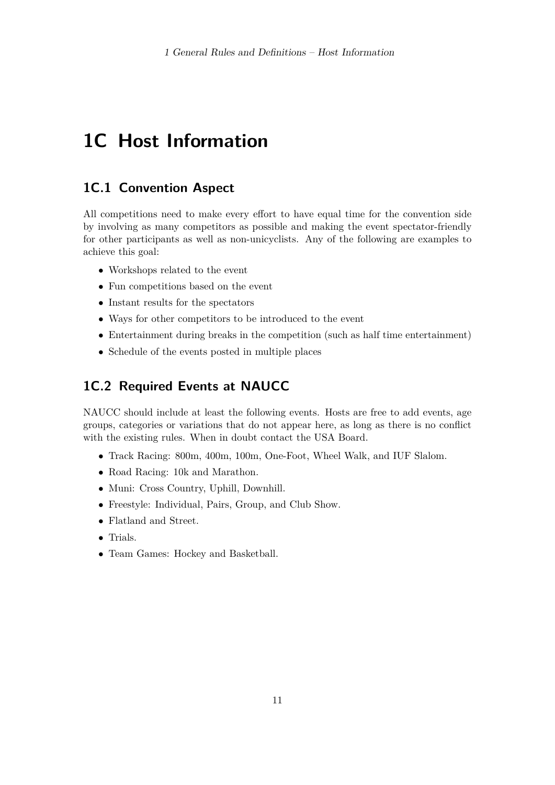# <span id="page-10-0"></span>**1C Host Information**

#### <span id="page-10-1"></span>**1C.1 Convention Aspect**

All competitions need to make every effort to have equal time for the convention side by involving as many competitors as possible and making the event spectator-friendly for other participants as well as non-unicyclists. Any of the following are examples to achieve this goal:

- Workshops related to the event
- Fun competitions based on the event
- Instant results for the spectators
- Ways for other competitors to be introduced to the event
- Entertainment during breaks in the competition (such as half time entertainment)
- Schedule of the events posted in multiple places

#### <span id="page-10-2"></span>**1C.2 Required Events at NAUCC**

NAUCC should include at least the following events. Hosts are free to add events, age groups, categories or variations that do not appear here, as long as there is no conflict with the existing rules. When in doubt contact the USA Board.

- Track Racing: 800m, 400m, 100m, One-Foot, Wheel Walk, and IUF Slalom.
- Road Racing: 10k and Marathon.
- Muni: Cross Country, Uphill, Downhill.
- Freestyle: Individual, Pairs, Group, and Club Show.
- Flatland and Street.
- Trials.
- Team Games: Hockey and Basketball.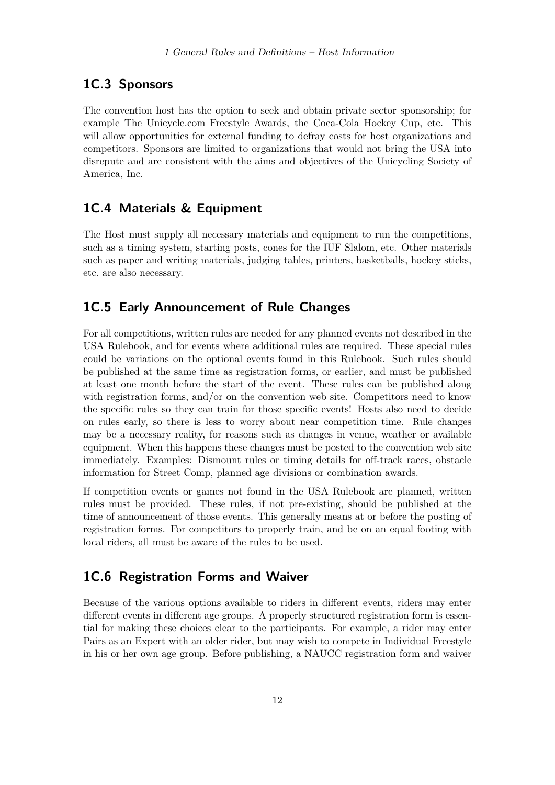#### <span id="page-11-0"></span>**1C.3 Sponsors**

The convention host has the option to seek and obtain private sector sponsorship; for example The Unicycle.com Freestyle Awards, the Coca-Cola Hockey Cup, etc. This will allow opportunities for external funding to defray costs for host organizations and competitors. Sponsors are limited to organizations that would not bring the USA into disrepute and are consistent with the aims and objectives of the Unicycling Society of America, Inc.

#### <span id="page-11-1"></span>**1C.4 Materials & Equipment**

The Host must supply all necessary materials and equipment to run the competitions, such as a timing system, starting posts, cones for the IUF Slalom, etc. Other materials such as paper and writing materials, judging tables, printers, basketballs, hockey sticks, etc. are also necessary.

#### <span id="page-11-2"></span>**1C.5 Early Announcement of Rule Changes**

For all competitions, written rules are needed for any planned events not described in the USA Rulebook, and for events where additional rules are required. These special rules could be variations on the optional events found in this Rulebook. Such rules should be published at the same time as registration forms, or earlier, and must be published at least one month before the start of the event. These rules can be published along with registration forms, and/or on the convention web site. Competitors need to know the specific rules so they can train for those specific events! Hosts also need to decide on rules early, so there is less to worry about near competition time. Rule changes may be a necessary reality, for reasons such as changes in venue, weather or available equipment. When this happens these changes must be posted to the convention web site immediately. Examples: Dismount rules or timing details for off-track races, obstacle information for Street Comp, planned age divisions or combination awards.

If competition events or games not found in the USA Rulebook are planned, written rules must be provided. These rules, if not pre-existing, should be published at the time of announcement of those events. This generally means at or before the posting of registration forms. For competitors to properly train, and be on an equal footing with local riders, all must be aware of the rules to be used.

## <span id="page-11-3"></span>**1C.6 Registration Forms and Waiver**

Because of the various options available to riders in different events, riders may enter different events in different age groups. A properly structured registration form is essential for making these choices clear to the participants. For example, a rider may enter Pairs as an Expert with an older rider, but may wish to compete in Individual Freestyle in his or her own age group. Before publishing, a NAUCC registration form and waiver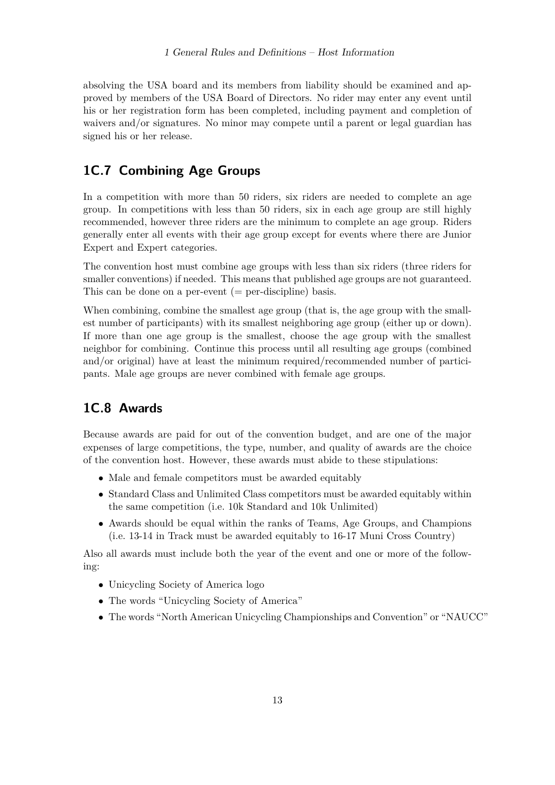absolving the USA board and its members from liability should be examined and approved by members of the USA Board of Directors. No rider may enter any event until his or her registration form has been completed, including payment and completion of waivers and/or signatures. No minor may compete until a parent or legal guardian has signed his or her release.

## <span id="page-12-0"></span>**1C.7 Combining Age Groups**

In a competition with more than 50 riders, six riders are needed to complete an age group. In competitions with less than 50 riders, six in each age group are still highly recommended, however three riders are the minimum to complete an age group. Riders generally enter all events with their age group except for events where there are Junior Expert and Expert categories.

The convention host must combine age groups with less than six riders (three riders for smaller conventions) if needed. This means that published age groups are not guaranteed. This can be done on a per-event  $(=$  per-discipline) basis.

When combining, combine the smallest age group (that is, the age group with the smallest number of participants) with its smallest neighboring age group (either up or down). If more than one age group is the smallest, choose the age group with the smallest neighbor for combining. Continue this process until all resulting age groups (combined and/or original) have at least the minimum required/recommended number of participants. Male age groups are never combined with female age groups.

# <span id="page-12-1"></span>**1C.8 Awards**

Because awards are paid for out of the convention budget, and are one of the major expenses of large competitions, the type, number, and quality of awards are the choice of the convention host. However, these awards must abide to these stipulations:

- Male and female competitors must be awarded equitably
- Standard Class and Unlimited Class competitors must be awarded equitably within the same competition (i.e. 10k Standard and 10k Unlimited)
- Awards should be equal within the ranks of Teams, Age Groups, and Champions (i.e. 13-14 in Track must be awarded equitably to 16-17 Muni Cross Country)

Also all awards must include both the year of the event and one or more of the following:

- Unicycling Society of America logo
- The words "Unicycling Society of America"
- The words "North American Unicycling Championships and Convention" or "NAUCC"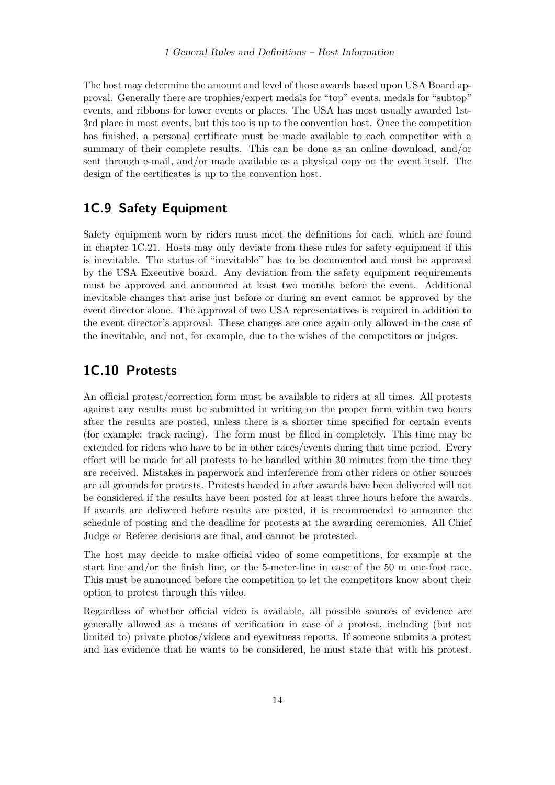The host may determine the amount and level of those awards based upon USA Board approval. Generally there are trophies/expert medals for "top" events, medals for "subtop" events, and ribbons for lower events or places. The USA has most usually awarded 1st-3rd place in most events, but this too is up to the convention host. Once the competition has finished, a personal certificate must be made available to each competitor with a summary of their complete results. This can be done as an online download, and/or sent through e-mail, and/or made available as a physical copy on the event itself. The design of the certificates is up to the convention host.

#### <span id="page-13-0"></span>**1C.9 Safety Equipment**

Safety equipment worn by riders must meet the definitions for each, which are found in chapter [1C.21.](#page-17-0) Hosts may only deviate from these rules for safety equipment if this is inevitable. The status of "inevitable" has to be documented and must be approved by the USA Executive board. Any deviation from the safety equipment requirements must be approved and announced at least two months before the event. Additional inevitable changes that arise just before or during an event cannot be approved by the event director alone. The approval of two USA representatives is required in addition to the event director's approval. These changes are once again only allowed in the case of the inevitable, and not, for example, due to the wishes of the competitors or judges.

#### <span id="page-13-1"></span>**1C.10 Protests**

An official protest/correction form must be available to riders at all times. All protests against any results must be submitted in writing on the proper form within two hours after the results are posted, unless there is a shorter time specified for certain events (for example: track racing). The form must be filled in completely. This time may be extended for riders who have to be in other races/events during that time period. Every effort will be made for all protests to be handled within 30 minutes from the time they are received. Mistakes in paperwork and interference from other riders or other sources are all grounds for protests. Protests handed in after awards have been delivered will not be considered if the results have been posted for at least three hours before the awards. If awards are delivered before results are posted, it is recommended to announce the schedule of posting and the deadline for protests at the awarding ceremonies. All Chief Judge or Referee decisions are final, and cannot be protested.

The host may decide to make official video of some competitions, for example at the start line and/or the finish line, or the 5-meter-line in case of the 50 m one-foot race. This must be announced before the competition to let the competitors know about their option to protest through this video.

Regardless of whether official video is available, all possible sources of evidence are generally allowed as a means of verification in case of a protest, including (but not limited to) private photos/videos and eyewitness reports. If someone submits a protest and has evidence that he wants to be considered, he must state that with his protest.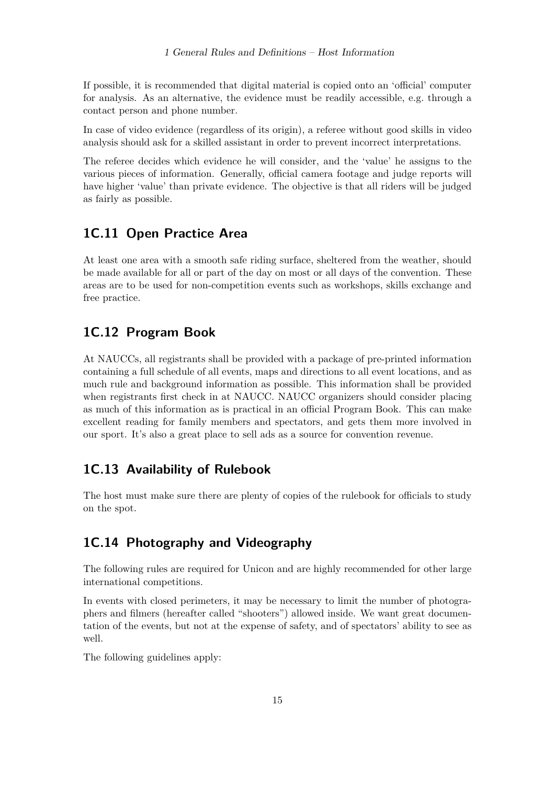If possible, it is recommended that digital material is copied onto an 'official' computer for analysis. As an alternative, the evidence must be readily accessible, e.g. through a contact person and phone number.

In case of video evidence (regardless of its origin), a referee without good skills in video analysis should ask for a skilled assistant in order to prevent incorrect interpretations.

The referee decides which evidence he will consider, and the 'value' he assigns to the various pieces of information. Generally, official camera footage and judge reports will have higher 'value' than private evidence. The objective is that all riders will be judged as fairly as possible.

# <span id="page-14-0"></span>**1C.11 Open Practice Area**

At least one area with a smooth safe riding surface, sheltered from the weather, should be made available for all or part of the day on most or all days of the convention. These areas are to be used for non-competition events such as workshops, skills exchange and free practice.

#### <span id="page-14-1"></span>**1C.12 Program Book**

At NAUCCs, all registrants shall be provided with a package of pre-printed information containing a full schedule of all events, maps and directions to all event locations, and as much rule and background information as possible. This information shall be provided when registrants first check in at NAUCC. NAUCC organizers should consider placing as much of this information as is practical in an official Program Book. This can make excellent reading for family members and spectators, and gets them more involved in our sport. It's also a great place to sell ads as a source for convention revenue.

#### <span id="page-14-2"></span>**1C.13 Availability of Rulebook**

The host must make sure there are plenty of copies of the rulebook for officials to study on the spot.

# <span id="page-14-3"></span>**1C.14 Photography and Videography**

The following rules are required for Unicon and are highly recommended for other large international competitions.

In events with closed perimeters, it may be necessary to limit the number of photographers and filmers (hereafter called "shooters") allowed inside. We want great documentation of the events, but not at the expense of safety, and of spectators' ability to see as well.

The following guidelines apply: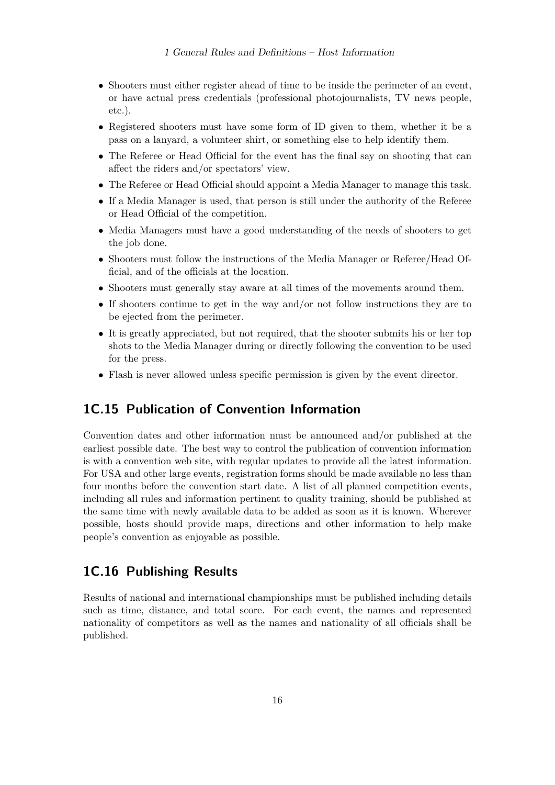- Shooters must either register ahead of time to be inside the perimeter of an event, or have actual press credentials (professional photojournalists, TV news people, etc.).
- Registered shooters must have some form of ID given to them, whether it be a pass on a lanyard, a volunteer shirt, or something else to help identify them.
- The Referee or Head Official for the event has the final say on shooting that can affect the riders and/or spectators' view.
- The Referee or Head Official should appoint a Media Manager to manage this task.
- If a Media Manager is used, that person is still under the authority of the Referee or Head Official of the competition.
- Media Managers must have a good understanding of the needs of shooters to get the job done.
- Shooters must follow the instructions of the Media Manager or Referee/Head Official, and of the officials at the location.
- Shooters must generally stay aware at all times of the movements around them.
- If shooters continue to get in the way and/or not follow instructions they are to be ejected from the perimeter.
- It is greatly appreciated, but not required, that the shooter submits his or her top shots to the Media Manager during or directly following the convention to be used for the press.
- Flash is never allowed unless specific permission is given by the event director.

#### <span id="page-15-0"></span>**1C.15 Publication of Convention Information**

Convention dates and other information must be announced and/or published at the earliest possible date. The best way to control the publication of convention information is with a convention web site, with regular updates to provide all the latest information. For USA and other large events, registration forms should be made available no less than four months before the convention start date. A list of all planned competition events, including all rules and information pertinent to quality training, should be published at the same time with newly available data to be added as soon as it is known. Wherever possible, hosts should provide maps, directions and other information to help make people's convention as enjoyable as possible.

#### <span id="page-15-1"></span>**1C.16 Publishing Results**

Results of national and international championships must be published including details such as time, distance, and total score. For each event, the names and represented nationality of competitors as well as the names and nationality of all officials shall be published.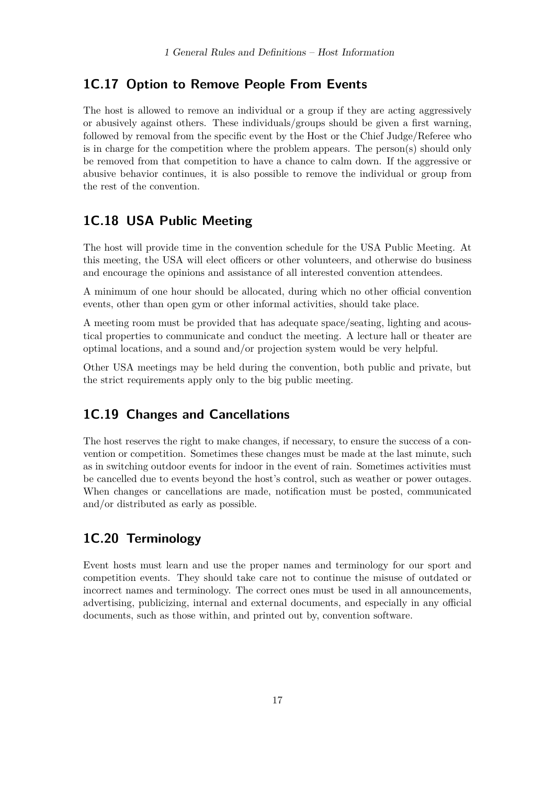#### <span id="page-16-0"></span>**1C.17 Option to Remove People From Events**

The host is allowed to remove an individual or a group if they are acting aggressively or abusively against others. These individuals/groups should be given a first warning, followed by removal from the specific event by the Host or the Chief Judge/Referee who is in charge for the competition where the problem appears. The person(s) should only be removed from that competition to have a chance to calm down. If the aggressive or abusive behavior continues, it is also possible to remove the individual or group from the rest of the convention.

## <span id="page-16-1"></span>**1C.18 USA Public Meeting**

The host will provide time in the convention schedule for the USA Public Meeting. At this meeting, the USA will elect officers or other volunteers, and otherwise do business and encourage the opinions and assistance of all interested convention attendees.

A minimum of one hour should be allocated, during which no other official convention events, other than open gym or other informal activities, should take place.

A meeting room must be provided that has adequate space/seating, lighting and acoustical properties to communicate and conduct the meeting. A lecture hall or theater are optimal locations, and a sound and/or projection system would be very helpful.

Other USA meetings may be held during the convention, both public and private, but the strict requirements apply only to the big public meeting.

# <span id="page-16-2"></span>**1C.19 Changes and Cancellations**

The host reserves the right to make changes, if necessary, to ensure the success of a convention or competition. Sometimes these changes must be made at the last minute, such as in switching outdoor events for indoor in the event of rain. Sometimes activities must be cancelled due to events beyond the host's control, such as weather or power outages. When changes or cancellations are made, notification must be posted, communicated and/or distributed as early as possible.

# <span id="page-16-3"></span>**1C.20 Terminology**

Event hosts must learn and use the proper names and terminology for our sport and competition events. They should take care not to continue the misuse of outdated or incorrect names and terminology. The correct ones must be used in all announcements, advertising, publicizing, internal and external documents, and especially in any official documents, such as those within, and printed out by, convention software.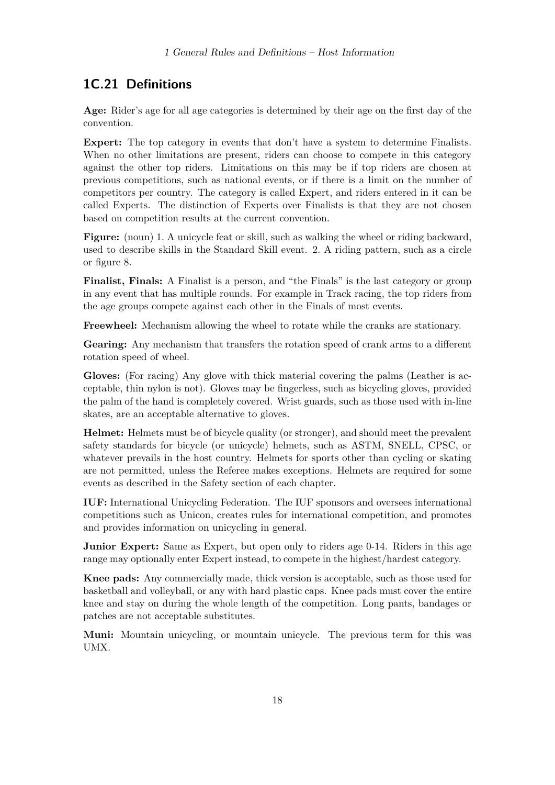## <span id="page-17-0"></span>**1C.21 Definitions**

**Age:** Rider's age for all age categories is determined by their age on the first day of the convention.

**Expert:** The top category in events that don't have a system to determine Finalists. When no other limitations are present, riders can choose to compete in this category against the other top riders. Limitations on this may be if top riders are chosen at previous competitions, such as national events, or if there is a limit on the number of competitors per country. The category is called Expert, and riders entered in it can be called Experts. The distinction of Experts over Finalists is that they are not chosen based on competition results at the current convention.

**Figure:** (noun) 1. A unicycle feat or skill, such as walking the wheel or riding backward, used to describe skills in the Standard Skill event. 2. A riding pattern, such as a circle or figure 8.

**Finalist, Finals:** A Finalist is a person, and "the Finals" is the last category or group in any event that has multiple rounds. For example in Track racing, the top riders from the age groups compete against each other in the Finals of most events.

**Freewheel:** Mechanism allowing the wheel to rotate while the cranks are stationary.

**Gearing:** Any mechanism that transfers the rotation speed of crank arms to a different rotation speed of wheel.

**Gloves:** (For racing) Any glove with thick material covering the palms (Leather is acceptable, thin nylon is not). Gloves may be fingerless, such as bicycling gloves, provided the palm of the hand is completely covered. Wrist guards, such as those used with in-line skates, are an acceptable alternative to gloves.

**Helmet:** Helmets must be of bicycle quality (or stronger), and should meet the prevalent safety standards for bicycle (or unicycle) helmets, such as ASTM, SNELL, CPSC, or whatever prevails in the host country. Helmets for sports other than cycling or skating are not permitted, unless the Referee makes exceptions. Helmets are required for some events as described in the Safety section of each chapter.

**IUF:** International Unicycling Federation. The IUF sponsors and oversees international competitions such as Unicon, creates rules for international competition, and promotes and provides information on unicycling in general.

**Junior Expert:** Same as Expert, but open only to riders age 0-14. Riders in this age range may optionally enter Expert instead, to compete in the highest/hardest category.

**Knee pads:** Any commercially made, thick version is acceptable, such as those used for basketball and volleyball, or any with hard plastic caps. Knee pads must cover the entire knee and stay on during the whole length of the competition. Long pants, bandages or patches are not acceptable substitutes.

**Muni:** Mountain unicycling, or mountain unicycle. The previous term for this was UMX.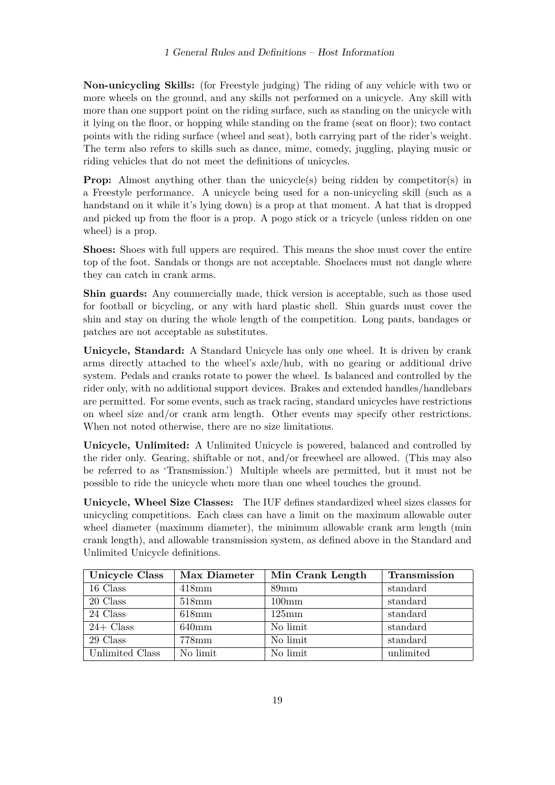**Non-unicycling Skills:** (for Freestyle judging) The riding of any vehicle with two or more wheels on the ground, and any skills not performed on a unicycle. Any skill with more than one support point on the riding surface, such as standing on the unicycle with it lying on the floor, or hopping while standing on the frame (seat on floor); two contact points with the riding surface (wheel and seat), both carrying part of the rider's weight. The term also refers to skills such as dance, mime, comedy, juggling, playing music or riding vehicles that do not meet the definitions of unicycles.

**Prop:** Almost anything other than the unicycle(s) being ridden by competitor(s) in a Freestyle performance. A unicycle being used for a non-unicycling skill (such as a handstand on it while it's lying down) is a prop at that moment. A hat that is dropped and picked up from the floor is a prop. A pogo stick or a tricycle (unless ridden on one wheel) is a prop.

**Shoes:** Shoes with full uppers are required. This means the shoe must cover the entire top of the foot. Sandals or thongs are not acceptable. Shoelaces must not dangle where they can catch in crank arms.

**Shin guards:** Any commercially made, thick version is acceptable, such as those used for football or bicycling, or any with hard plastic shell. Shin guards must cover the shin and stay on during the whole length of the competition. Long pants, bandages or patches are not acceptable as substitutes.

**Unicycle, Standard:** A Standard Unicycle has only one wheel. It is driven by crank arms directly attached to the wheel's axle/hub, with no gearing or additional drive system. Pedals and cranks rotate to power the wheel. Is balanced and controlled by the rider only, with no additional support devices. Brakes and extended handles/handlebars are permitted. For some events, such as track racing, standard unicycles have restrictions on wheel size and/or crank arm length. Other events may specify other restrictions. When not noted otherwise, there are no size limitations.

**Unicycle, Unlimited:** A Unlimited Unicycle is powered, balanced and controlled by the rider only. Gearing, shiftable or not, and/or freewheel are allowed. (This may also be referred to as 'Transmission.') Multiple wheels are permitted, but it must not be possible to ride the unicycle when more than one wheel touches the ground.

**Unicycle, Wheel Size Classes:** The IUF defines standardized wheel sizes classes for unicycling competitions. Each class can have a limit on the maximum allowable outer wheel diameter (maximum diameter), the minimum allowable crank arm length (min crank length), and allowable transmission system, as defined above in the Standard and Unlimited Unicycle definitions.

| <b>Unicycle Class</b> | Max Diameter    | Min Crank Length | Transmission |
|-----------------------|-----------------|------------------|--------------|
| 16 Class              | $418 \text{mm}$ | 89 <sub>mm</sub> | standard     |
| 20 Class              | 518mm           | $100 \text{mm}$  | standard     |
| 24 Class              | $618 \text{mm}$ | 125mm            | standard     |
| $24 + Class$          | $640 \text{mm}$ | No limit         | standard     |
| 29 Class              | 778mm           | No limit         | standard     |
| Unlimited Class       | No limit        | No limit         | unlimited    |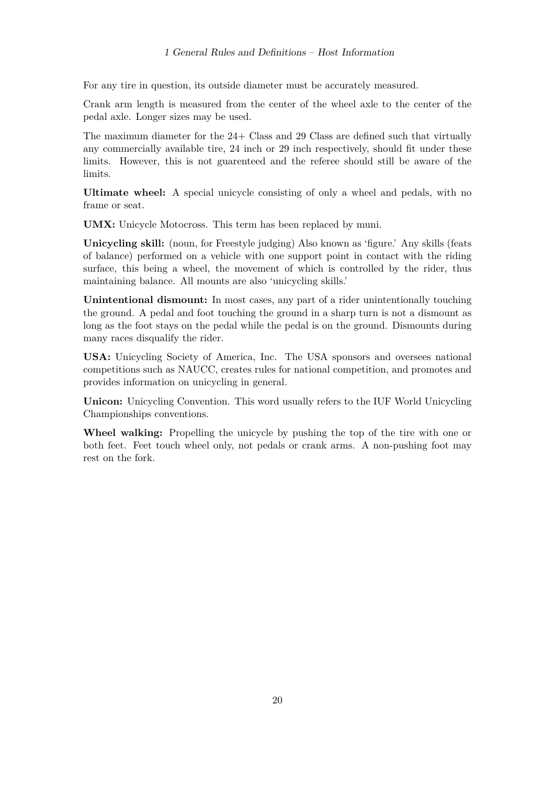For any tire in question, its outside diameter must be accurately measured.

Crank arm length is measured from the center of the wheel axle to the center of the pedal axle. Longer sizes may be used.

The maximum diameter for the 24+ Class and 29 Class are defined such that virtually any commercially available tire, 24 inch or 29 inch respectively, should fit under these limits. However, this is not guarenteed and the referee should still be aware of the limits.

**Ultimate wheel:** A special unicycle consisting of only a wheel and pedals, with no frame or seat.

**UMX:** Unicycle Motocross. This term has been replaced by muni.

**Unicycling skill:** (noun, for Freestyle judging) Also known as 'figure.' Any skills (feats of balance) performed on a vehicle with one support point in contact with the riding surface, this being a wheel, the movement of which is controlled by the rider, thus maintaining balance. All mounts are also 'unicycling skills.'

**Unintentional dismount:** In most cases, any part of a rider unintentionally touching the ground. A pedal and foot touching the ground in a sharp turn is not a dismount as long as the foot stays on the pedal while the pedal is on the ground. Dismounts during many races disqualify the rider.

**USA:** Unicycling Society of America, Inc. The USA sponsors and oversees national competitions such as NAUCC, creates rules for national competition, and promotes and provides information on unicycling in general.

**Unicon:** Unicycling Convention. This word usually refers to the IUF World Unicycling Championships conventions.

**Wheel walking:** Propelling the unicycle by pushing the top of the tire with one or both feet. Feet touch wheel only, not pedals or crank arms. A non-pushing foot may rest on the fork.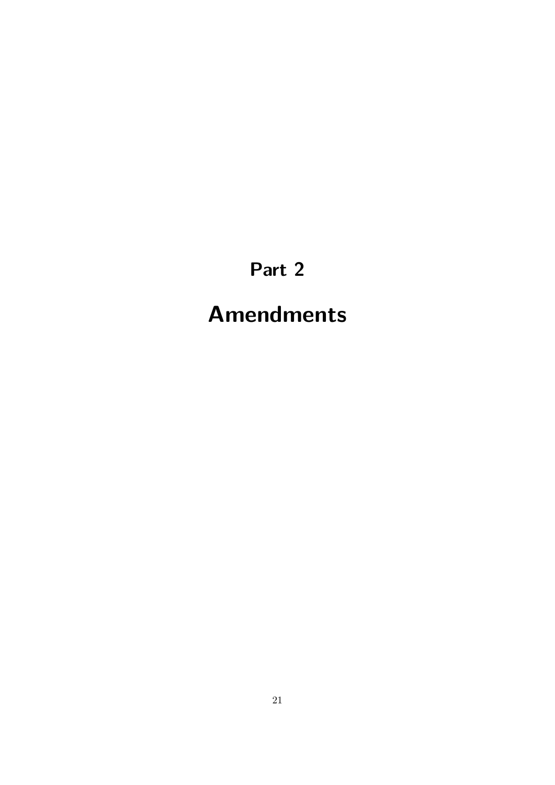**Part 2**

# <span id="page-20-0"></span>**Amendments**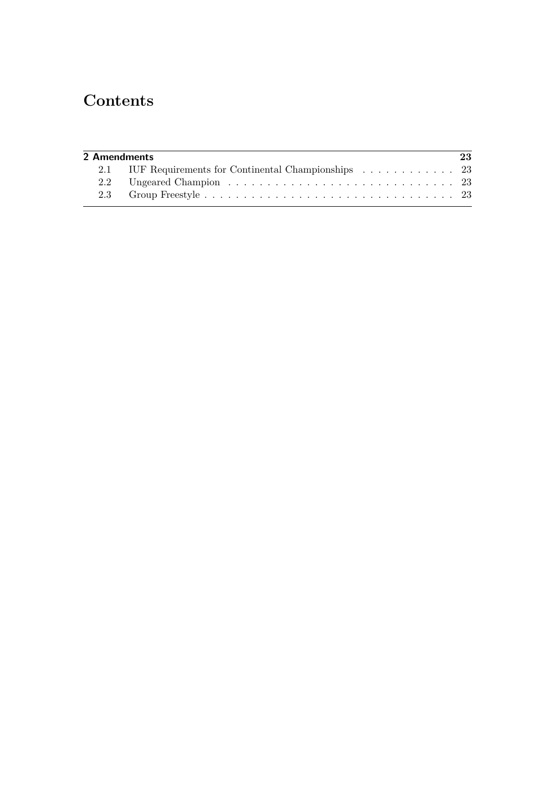# **Contents**

|  | 2 Amendments                                          | 23 |
|--|-------------------------------------------------------|----|
|  | 2.1 IUF Requirements for Continental Championships 23 |    |
|  |                                                       |    |
|  |                                                       |    |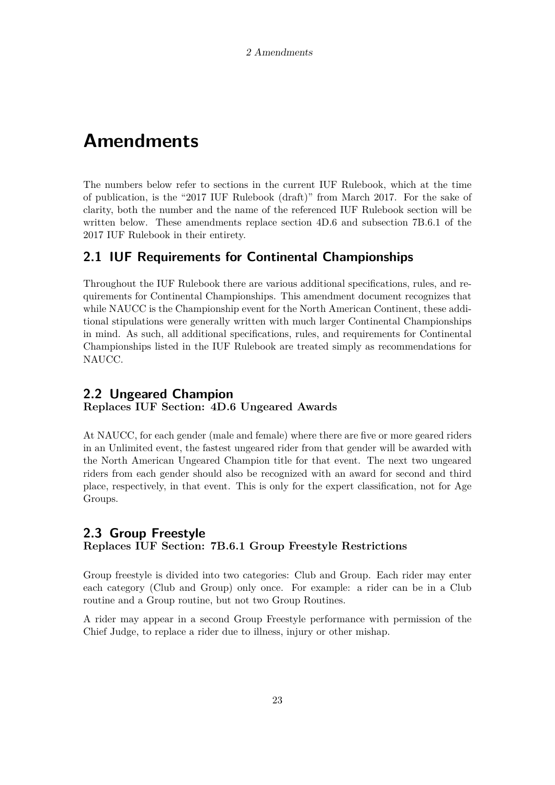# <span id="page-22-0"></span>**Amendments**

The numbers below refer to sections in the current IUF Rulebook, which at the time of publication, is the "2017 IUF Rulebook (draft)" from March 2017. For the sake of clarity, both the number and the name of the referenced IUF Rulebook section will be written below. These amendments replace section 4D.6 and subsection 7B.6.1 of the 2017 IUF Rulebook in their entirety.

# <span id="page-22-1"></span>**2.1 IUF Requirements for Continental Championships**

Throughout the IUF Rulebook there are various additional specifications, rules, and requirements for Continental Championships. This amendment document recognizes that while NAUCC is the Championship event for the North American Continent, these additional stipulations were generally written with much larger Continental Championships in mind. As such, all additional specifications, rules, and requirements for Continental Championships listed in the IUF Rulebook are treated simply as recommendations for NAUCC.

#### <span id="page-22-2"></span>**2.2 Ungeared Champion Replaces IUF Section: 4D.6 Ungeared Awards**

At NAUCC, for each gender (male and female) where there are five or more geared riders in an Unlimited event, the fastest ungeared rider from that gender will be awarded with the North American Ungeared Champion title for that event. The next two ungeared riders from each gender should also be recognized with an award for second and third place, respectively, in that event. This is only for the expert classification, not for Age Groups.

## <span id="page-22-3"></span>**2.3 Group Freestyle Replaces IUF Section: 7B.6.1 Group Freestyle Restrictions**

Group freestyle is divided into two categories: Club and Group. Each rider may enter each category (Club and Group) only once. For example: a rider can be in a Club routine and a Group routine, but not two Group Routines.

A rider may appear in a second Group Freestyle performance with permission of the Chief Judge, to replace a rider due to illness, injury or other mishap.